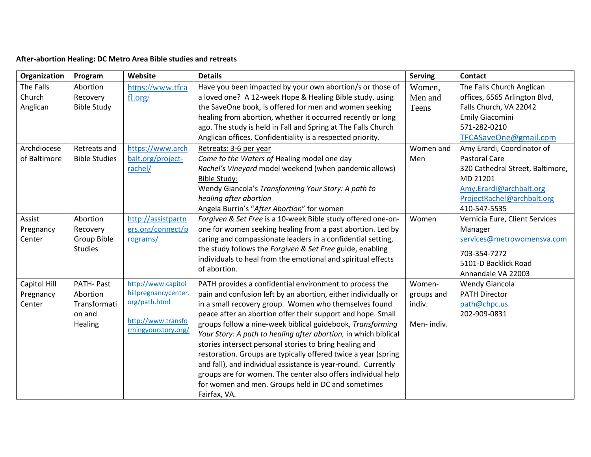## **After-abortion Healing: DC Metro Area Bible studies and retreats**

| Organization | Program              | Website              | <b>Details</b>                                                  | <b>Serving</b> | Contact                          |
|--------------|----------------------|----------------------|-----------------------------------------------------------------|----------------|----------------------------------|
| The Falls    | Abortion             | https://www.tfca     | Have you been impacted by your own abortion/s or those of       | Women,         | The Falls Church Anglican        |
| Church       | Recovery             | fl.org/              | a loved one? A 12-week Hope & Healing Bible study, using        | Men and        | offices, 6565 Arlington Blvd,    |
| Anglican     | <b>Bible Study</b>   |                      | the SaveOne book, is offered for men and women seeking          | Teens          | Falls Church, VA 22042           |
|              |                      |                      | healing from abortion, whether it occurred recently or long     |                | Emily Giacomini                  |
|              |                      |                      | ago. The study is held in Fall and Spring at The Falls Church   |                | 571-282-0210                     |
|              |                      |                      | Anglican offices. Confidentiality is a respected priority.      |                | TFCASaveOne@gmail.com            |
| Archdiocese  | Retreats and         | https://www.arch     | Retreats: 3-6 per year                                          | Women and      | Amy Erardi, Coordinator of       |
| of Baltimore | <b>Bible Studies</b> | balt.org/project-    | Come to the Waters of Healing model one day                     | Men            | <b>Pastoral Care</b>             |
|              |                      | rachel/              | Rachel's Vineyard model weekend (when pandemic allows)          |                | 320 Cathedral Street, Baltimore, |
|              |                      |                      | <b>Bible Study:</b>                                             |                | MD 21201                         |
|              |                      |                      | Wendy Giancola's Transforming Your Story: A path to             |                | Amy.Erardi@archbalt.org          |
|              |                      |                      | healing after abortion                                          |                | ProjectRachel@archbalt.org       |
|              |                      |                      | Angela Burrin's "After Abortion" for women                      |                | 410-547-5535                     |
| Assist       | Abortion             | http://assistpartn   | Forgiven & Set Free is a 10-week Bible study offered one-on-    | Women          | Vernicia Eure, Client Services   |
| Pregnancy    | Recovery             | ers.org/connect/p    | one for women seeking healing from a past abortion. Led by      |                | Manager                          |
| Center       | Group Bible          | rograms/             | caring and compassionate leaders in a confidential setting,     |                | services@metrowomensva.com       |
|              | <b>Studies</b>       |                      | the study follows the Forgiven & Set Free guide, enabling       |                | 703-354-7272                     |
|              |                      |                      | individuals to heal from the emotional and spiritual effects    |                | 5101-D Backlick Road             |
|              |                      |                      | of abortion.                                                    |                | Annandale VA 22003               |
| Capitol Hill | PATH-Past            | http://www.capitol   | PATH provides a confidential environment to process the         | Women-         | <b>Wendy Giancola</b>            |
| Pregnancy    | Abortion             | hillpregnancycenter. | pain and confusion left by an abortion, either individually or  | groups and     | <b>PATH Director</b>             |
| Center       | Transformati         | org/path.html        | in a small recovery group. Women who themselves found           | indiv.         | path@chpc.us                     |
|              | on and               |                      | peace after an abortion offer their support and hope. Small     |                | 202-909-0831                     |
|              | Healing              | http://www.transfo   | groups follow a nine-week biblical guidebook, Transforming      | Men-indiv.     |                                  |
|              |                      | rmingyourstory.org/  | Your Story: A path to healing after abortion, in which biblical |                |                                  |
|              |                      |                      | stories intersect personal stories to bring healing and         |                |                                  |
|              |                      |                      | restoration. Groups are typically offered twice a year (spring  |                |                                  |
|              |                      |                      | and fall), and individual assistance is year-round. Currently   |                |                                  |
|              |                      |                      | groups are for women. The center also offers individual help    |                |                                  |
|              |                      |                      | for women and men. Groups held in DC and sometimes              |                |                                  |
|              |                      |                      | Fairfax, VA.                                                    |                |                                  |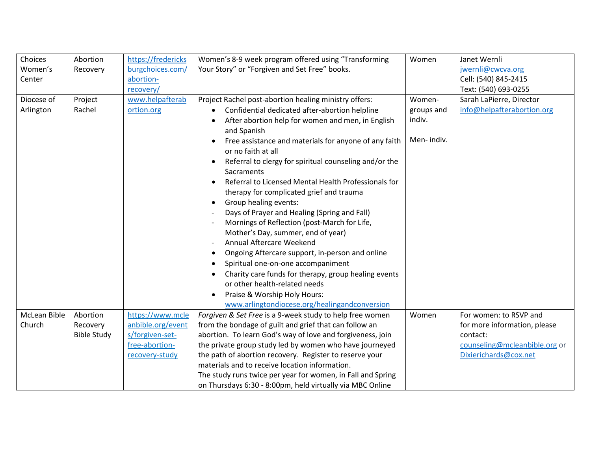| Choices      | Abortion           | https://fredericks | Women's 8-9 week program offered using "Transforming                                  | Women      | Janet Wernli                  |
|--------------|--------------------|--------------------|---------------------------------------------------------------------------------------|------------|-------------------------------|
| Women's      | Recovery           | burgchoices.com/   | Your Story" or "Forgiven and Set Free" books.                                         |            | jwernli@cwcva.org             |
| Center       |                    | abortion-          |                                                                                       |            | Cell: (540) 845-2415          |
|              |                    | recovery/          |                                                                                       |            | Text: (540) 693-0255          |
| Diocese of   | Project            | www.helpafterab    | Project Rachel post-abortion healing ministry offers:                                 | Women-     | Sarah LaPierre, Director      |
| Arlington    | Rachel             | ortion.org         | Confidential dedicated after-abortion helpline                                        | groups and | info@helpafterabortion.org    |
|              |                    |                    | After abortion help for women and men, in English                                     | indiv.     |                               |
|              |                    |                    | and Spanish                                                                           |            |                               |
|              |                    |                    | Free assistance and materials for anyone of any faith                                 | Men-indiv. |                               |
|              |                    |                    | or no faith at all                                                                    |            |                               |
|              |                    |                    | Referral to clergy for spiritual counseling and/or the                                |            |                               |
|              |                    |                    | Sacraments                                                                            |            |                               |
|              |                    |                    | Referral to Licensed Mental Health Professionals for<br>$\bullet$                     |            |                               |
|              |                    |                    | therapy for complicated grief and trauma                                              |            |                               |
|              |                    |                    | Group healing events:<br>$\bullet$                                                    |            |                               |
|              |                    |                    | Days of Prayer and Healing (Spring and Fall)                                          |            |                               |
|              |                    |                    | Mornings of Reflection (post-March for Life,                                          |            |                               |
|              |                    |                    | Mother's Day, summer, end of year)<br>Annual Aftercare Weekend                        |            |                               |
|              |                    |                    |                                                                                       |            |                               |
|              |                    |                    | Ongoing Aftercare support, in-person and online<br>Spiritual one-on-one accompaniment |            |                               |
|              |                    |                    |                                                                                       |            |                               |
|              |                    |                    | Charity care funds for therapy, group healing events<br>or other health-related needs |            |                               |
|              |                    |                    | Praise & Worship Holy Hours:<br>$\bullet$                                             |            |                               |
|              |                    |                    | www.arlingtondiocese.org/healingandconversion                                         |            |                               |
| McLean Bible | Abortion           | https://www.mcle   | Forgiven & Set Free is a 9-week study to help free women                              | Women      | For women: to RSVP and        |
| Church       | Recovery           | anbible.org/event  | from the bondage of guilt and grief that can follow an                                |            | for more information, please  |
|              | <b>Bible Study</b> | s/forgiven-set-    | abortion. To learn God's way of love and forgiveness, join                            |            | contact:                      |
|              |                    | free-abortion-     | the private group study led by women who have journeyed                               |            | counseling@mcleanbible.org or |
|              |                    | recovery-study     | the path of abortion recovery. Register to reserve your                               |            | Dixierichards@cox.net         |
|              |                    |                    | materials and to receive location information.                                        |            |                               |
|              |                    |                    | The study runs twice per year for women, in Fall and Spring                           |            |                               |
|              |                    |                    | on Thursdays 6:30 - 8:00pm, held virtually via MBC Online                             |            |                               |